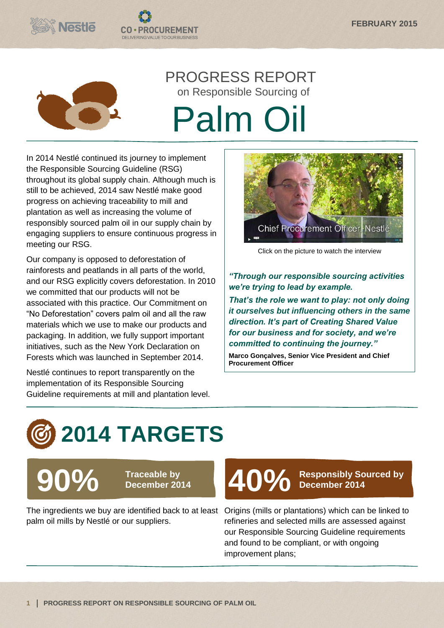



# PROGRESS REPORT on Responsible Sourcing of Palm Oil

In 2014 Nestlé continued its journey to implement the Responsible Sourcing Guideline (RSG) throughout its global supply chain. Although much is still to be achieved, 2014 saw Nestlé make good progress on achieving traceability to mill and plantation as well as increasing the volume of responsibly sourced palm oil in our supply chain by engaging suppliers to ensure continuous progress in meeting our RSG.

**CO·PROCUREMENT** DELIVERING VALUE TO OUR BUSINESS

Our company is opposed to deforestation of rainforests and peatlands in all parts of the world, and our RSG explicitly covers deforestation. In 2010 we committed that our products will not be associated with this practice. Our Commitment on "No Deforestation" covers palm oil and all the raw materials which we use to make our products and packaging. In addition, we fully support important initiatives, such as the New York Declaration on Forests which was launched in September 2014.

Nestlé continues to report transparently on the implementation of its Responsible Sourcing Guideline requirements at mill and plantation level.



Click on the picture to watch the interview

*"Through our responsible sourcing activities we're trying to lead by example. That's the role we want to play: not only doing it ourselves but influencing others in the same direction. It's part of Creating Shared Value for our business and for society, and we're* 

*committed to continuing the journey."*

**Marco Gonçalves, Senior Vice President and Chief Procurement Officer**

# **2014 TARGETS**

**90% Traceable by** 

The ingredients we buy are identified back to at least Origins (mills or plantations) which can be linked to palm oil mills by Nestlé or our suppliers.



**December 2014**

refineries and selected mills are assessed against our Responsible Sourcing Guideline requirements and found to be compliant, or with ongoing improvement plans;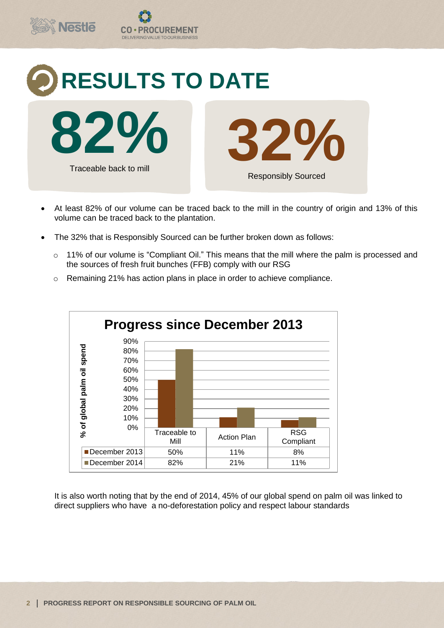

- At least 82% of our volume can be traced back to the mill in the country of origin and 13% of this volume can be traced back to the plantation.
- The 32% that is Responsibly Sourced can be further broken down as follows:
	- o 11% of our volume is "Compliant Oil." This means that the mill where the palm is processed and the sources of fresh fruit bunches (FFB) comply with our RSG





It is also worth noting that by the end of 2014, 45% of our global spend on palm oil was linked to direct suppliers who have a no-deforestation policy and respect labour standards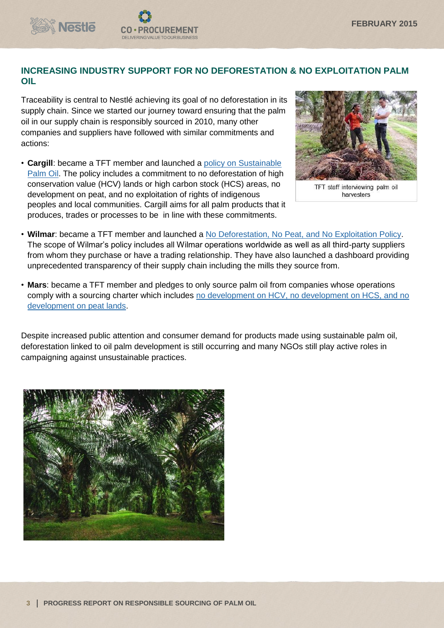

Traceability is central to Nestlé achieving its goal of no deforestation in its supply chain. Since we started our journey toward ensuring that the palm oil in our supply chain is responsibly sourced in 2010, many other companies and suppliers have followed with similar commitments and actions:

**OCUREMENT** 

DELIVERING VALUE TO OUR BUSINES

**Nestle** 

• **Cargill**: became a TFT member and launched a [policy on Sustainable](https://www.cargill.com/wcm/groups/public/@ccom/documents/document/palm_oil_policy_statement.pdf)  [Palm Oil.](https://www.cargill.com/wcm/groups/public/@ccom/documents/document/palm_oil_policy_statement.pdf) The policy includes a commitment to no deforestation of high conservation value (HCV) lands or high carbon stock (HCS) areas, no development on peat, and no exploitation of rights of indigenous peoples and local communities. Cargill aims for all palm products that it produces, trades or processes to be in line with these commitments.



TFT staff interviewing palm oil harvesters

- **Wilmar**: became a TFT member and launched a [No Deforestation, No Peat, and No Exploitation Policy.](http://www.wilmar-international.com/wp-content/uploads/2012/11/No-Deforestation-No-Peat-No-Exploitation-Policy.pdf) The scope of Wilmar's policy includes all Wilmar operations worldwide as well as all third-party suppliers from whom they purchase or have a trading relationship. They have also launched a dashboard providing unprecedented transparency of their supply chain including the mills they source from.
- **Mars**: became a TFT member and pledges to only source palm oil from companies whose operations comply with a sourcing charter which includes [no development on HCV, no development on HCS, and no](http://www.mars.com/global/about-mars/mars-pia/our-supply-chain/palm-oil.aspx)  [development on peat lands.](http://www.mars.com/global/about-mars/mars-pia/our-supply-chain/palm-oil.aspx)

Despite increased public attention and consumer demand for products made using sustainable palm oil, deforestation linked to oil palm development is still occurring and many NGOs still play active roles in campaigning against unsustainable practices.

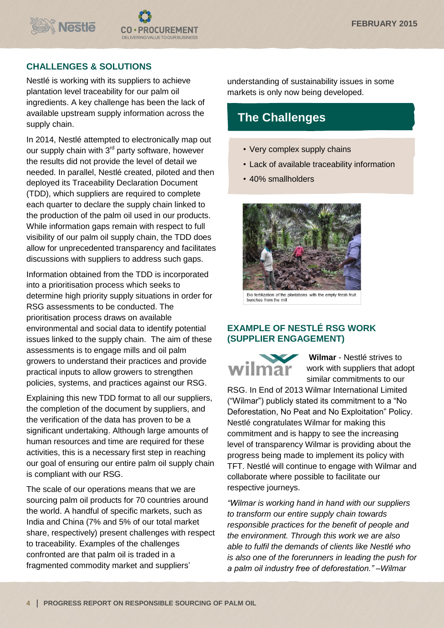

#### **CHALLENGES & SOLUTIONS**

Nestlé is working with its suppliers to achieve plantation level traceability for our palm oil ingredients. A key challenge has been the lack of available upstream supply information across the supply chain.

In 2014, Nestlé attempted to electronically map out our supply chain with 3<sup>rd</sup> party software, however the results did not provide the level of detail we needed. In parallel, Nestlé created, piloted and then deployed its Traceability Declaration Document (TDD), which suppliers are required to complete each quarter to declare the supply chain linked to the production of the palm oil used in our products. While information gaps remain with respect to full visibility of our palm oil supply chain, the TDD does allow for unprecedented transparency and facilitates discussions with suppliers to address such gaps.

Information obtained from the TDD is incorporated into a prioritisation process which seeks to determine high priority supply situations in order for RSG assessments to be conducted. The prioritisation process draws on available environmental and social data to identify potential issues linked to the supply chain. The aim of these assessments is to engage mills and oil palm growers to understand their practices and provide practical inputs to allow growers to strengthen policies, systems, and practices against our RSG.

Explaining this new TDD format to all our suppliers, the completion of the document by suppliers, and the verification of the data has proven to be a significant undertaking. Although large amounts of human resources and time are required for these activities, this is a necessary first step in reaching our goal of ensuring our entire palm oil supply chain is compliant with our RSG.

The scale of our operations means that we are sourcing palm oil products for 70 countries around the world. A handful of specific markets, such as India and China (7% and 5% of our total market share, respectively) present challenges with respect to traceability. Examples of the challenges confronted are that palm oil is traded in a fragmented commodity market and suppliers'

understanding of sustainability issues in some markets is only now being developed.

## **The Challenges**

- Very complex supply chains
- Lack of available traceability information
- 40% smallholders



Bio fertilization of the plantations with the empty fresh fruit<br>bunches from the mill

#### **EXAMPLE OF NESTLÉ RSG WORK (SUPPLIER ENGAGEMENT)**



**Wilmar** - Nestlé strives to work with suppliers that adopt similar commitments to our

RSG. In End of 2013 Wilmar International Limited ("Wilmar") publicly stated its commitment to a "No Deforestation, No Peat and No Exploitation" Policy. Nestlé congratulates Wilmar for making this commitment and is happy to see the increasing level of transparency Wilmar is providing about the progress being made to implement its policy with TFT. Nestlé will continue to engage with Wilmar and collaborate where possible to facilitate our respective journeys.

*"Wilmar is working hand in hand with our suppliers to transform our entire supply chain towards responsible practices for the benefit of people and the environment. Through this work we are also able to fulfil the demands of clients like Nestlé who is also one of the forerunners in leading the push for a palm oil industry free of deforestation." –Wilmar*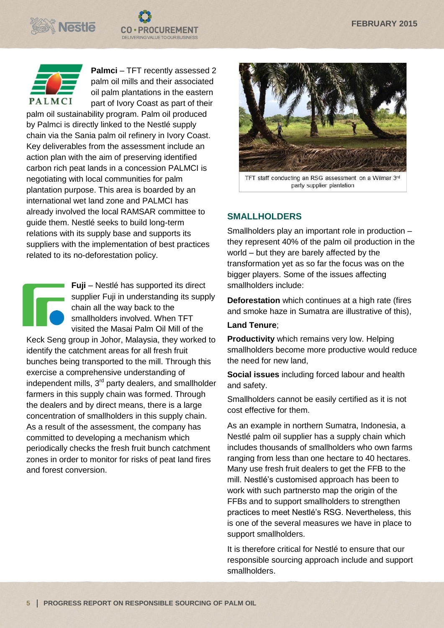





**Palmci** – TFT recently assessed 2 palm oil mills and their associated oil palm plantations in the eastern part of Ivory Coast as part of their

palm oil sustainability program. Palm oil produced by Palmci is directly linked to the Nestlé supply chain via the Sania palm oil refinery in Ivory Coast. Key deliverables from the assessment include an action plan with the aim of preserving identified carbon rich peat lands in a concession PALMCI is negotiating with local communities for palm plantation purpose. This area is boarded by an international wet land zone and PALMCI has already involved the local RAMSAR committee to guide them. Nestlé seeks to build long-term relations with its supply base and supports its suppliers with the implementation of best practices related to its no-deforestation policy.

**Fuji** – Nestlé has supported its direct supplier Fuji in understanding its supply chain all the way back to the smallholders involved. When TFT visited the Masai Palm Oil Mill of the Keck Seng group in Johor, Malaysia, they worked to identify the catchment areas for all fresh fruit bunches being transported to the mill. Through this exercise a comprehensive understanding of independent mills,  $3<sup>rd</sup>$  party dealers, and smallholder

farmers in this supply chain was formed. Through the dealers and by direct means, there is a large concentration of smallholders in this supply chain. As a result of the assessment, the company has committed to developing a mechanism which periodically checks the fresh fruit bunch catchment zones in order to monitor for risks of peat land fires and forest conversion.



TFT staff conducting an RSG assessment on a Wilmar 3rd party supplier plantation

#### **SMALLHOLDERS**

Smallholders play an important role in production – they represent 40% of the palm oil production in the world – but they are barely affected by the transformation yet as so far the focus was on the bigger players. Some of the issues affecting smallholders include:

**Deforestation** which continues at a high rate (fires and smoke haze in Sumatra are illustrative of this),

#### **Land Tenure**;

**Productivity** which remains very low. Helping smallholders become more productive would reduce the need for new land,

**Social issues** including forced labour and health and safety.

Smallholders cannot be easily certified as it is not cost effective for them.

As an example in northern Sumatra, Indonesia, a Nestlé palm oil supplier has a supply chain which includes thousands of smallholders who own farms ranging from less than one hectare to 40 hectares. Many use fresh fruit dealers to get the FFB to the mill. Nestlé's customised approach has been to work with such partnersto map the origin of the FFBs and to support smallholders to strengthen practices to meet Nestlé's RSG. Nevertheless, this is one of the several measures we have in place to support smallholders.

It is therefore critical for Nestlé to ensure that our responsible sourcing approach include and support smallholders.